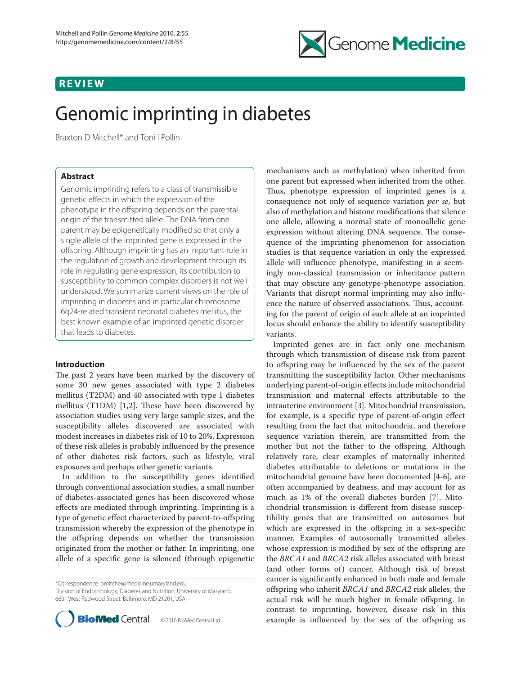## **REVIEW**



# Genomic imprinting in diabetes

Braxton D Mitchell\* and Toni I Pollin

## **Abstract**

Genomic imprinting refers to a class of transmissible genetic effects in which the expression of the phenotype in the offspring depends on the parental origin of the transmitted allele. The DNA from one parent may be epigenetically modified so that only a single allele of the imprinted gene is expressed in the offspring. Although imprinting has an important role in the regulation of growth and development through its role in regulating gene expression, its contribution to susceptibility to common complex disorders is not well understood. We summarize current views on the role of imprinting in diabetes and in particular chromosome 6q24-related transient neonatal diabetes mellitus, the best known example of an imprinted genetic disorder that leads to diabetes.

#### **Introduction**

The past 2 years have been marked by the discovery of some 30 new genes associated with type 2 diabetes mellitus (T2DM) and 40 associated with type 1 diabetes mellitus (T1DM)  $[1,2]$ . These have been discovered by association studies using very large sample sizes, and the susceptibility alleles discovered are associated with modest increases in diabetes risk of 10 to 20%. Expression of these risk alleles is probably influenced by the presence of other diabetes risk factors, such as lifestyle, viral exposures and perhaps other genetic variants.

In addition to the susceptibility genes identified through conventional association studies, a small number of diabetes-associated genes has been discovered whose effects are mediated through imprinting. Imprinting is a type of genetic effect characterized by parent-to-offspring transmission whereby the expression of the phenotype in the offspring depends on whether the transmission originated from the mother or father. In imprinting, one allele of a specific gene is silenced (through epigenetic

\*Correspondence: bmitchel@medicine.umaryland.edu Division of Endocrinology, Diabetes and Nutrition, University of Maryland, 6601 West Redwood Street, Baltimore, MD 21201, USA



mechanisms such as methylation) when inherited from one parent but expressed when inherited from the other. Thus, phenotype expression of imprinted genes is a consequence not only of sequence variation *per se*, but also of methylation and histone modifications that silence one allele, allowing a normal state of monoallelic gene expression without altering DNA sequence. The consequence of the imprinting phenomenon for association studies is that sequence variation in only the expressed allele will influence phenotype, manifesting in a seemingly non-classical transmission or inheritance pattern that may obscure any genotype-phenotype association. Variants that disrupt normal imprinting may also influence the nature of observed associations. Thus, accounting for the parent of origin of each allele at an imprinted locus should enhance the ability to identify susceptibility variants.

Imprinted genes are in fact only one mechanism through which transmission of disease risk from parent to offspring may be influenced by the sex of the parent transmitting the susceptibility factor. Other mechanisms underlying parent-of-origin effects include mitochondrial transmission and maternal effects attributable to the intrauterine environment [3]. Mitochondrial transmission, for example, is a specific type of parent-of-origin effect resulting from the fact that mitochondria, and therefore sequence variation therein, are transmitted from the mother but not the father to the offspring. Although relatively rare, clear examples of maternally inherited diabetes attributable to deletions or mutations in the mitochondrial genome have been documented [4-6], are often accompanied by deafness, and may account for as much as 1% of the overall diabetes burden [7]. Mitochondrial transmission is different from disease susceptibility genes that are transmitted on autosomes but which are expressed in the offspring in a sex-specific manner. Examples of autosomally transmitted alleles whose expression is modified by sex of the offspring are the *BRCA1* and *BRCA2* risk alleles associated with breast (and other forms of) cancer. Although risk of breast cancer is significantly enhanced in both male and female offspring who inherit *BRCA1* and *BRCA2* risk alleles, the actual risk will be much higher in female offspring. In contrast to imprinting, however, disease risk in this example is influenced by the sex of the offspring as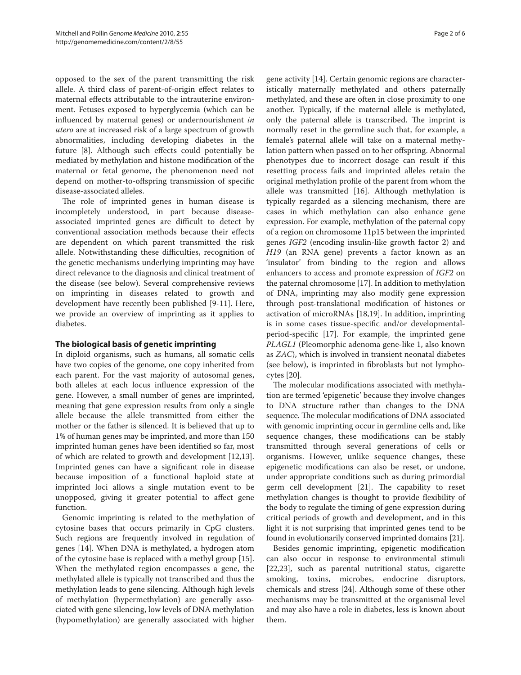opposed to the sex of the parent transmitting the risk allele. A third class of parent-of-origin effect relates to maternal effects attributable to the intrauterine environment. Fetuses exposed to hyperglycemia (which can be influenced by maternal genes) or undernourishment *in utero* are at increased risk of a large spectrum of growth abnormalities, including developing diabetes in the future [8]. Although such effects could potentially be mediated by methylation and histone modification of the maternal or fetal genome, the phenomenon need not depend on mother-to-offspring transmission of specific disease-associated alleles.

The role of imprinted genes in human disease is incompletely understood, in part because diseaseassociated imprinted genes are difficult to detect by conventional association methods because their effects are dependent on which parent transmitted the risk allele. Notwithstanding these difficulties, recognition of the genetic mechanisms underlying imprinting may have direct relevance to the diagnosis and clinical treatment of the disease (see below). Several comprehensive reviews on imprinting in diseases related to growth and development have recently been published [9-11]. Here, we provide an overview of imprinting as it applies to diabetes.

## **The biological basis of genetic imprinting**

In diploid organisms, such as humans, all somatic cells have two copies of the genome, one copy inherited from each parent. For the vast majority of autosomal genes, both alleles at each locus influence expression of the gene. However, a small number of genes are imprinted, meaning that gene expression results from only a single allele because the allele transmitted from either the mother or the father is silenced. It is believed that up to 1% of human genes may be imprinted, and more than 150 imprinted human genes have been identified so far, most of which are related to growth and development [12,13]. Imprinted genes can have a significant role in disease because imposition of a functional haploid state at imprinted loci allows a single mutation event to be unopposed, giving it greater potential to affect gene function.

Genomic imprinting is related to the methylation of cytosine bases that occurs primarily in CpG clusters. Such regions are frequently involved in regulation of genes [14]. When DNA is methylated, a hydrogen atom of the cytosine base is replaced with a methyl group [15]. When the methylated region encompasses a gene, the methylated allele is typically not transcribed and thus the methylation leads to gene silencing. Although high levels of methylation (hypermethylation) are generally associated with gene silencing, low levels of DNA methylation (hypomethylation) are generally associated with higher gene activity [14]. Certain genomic regions are characteristically maternally methylated and others paternally methylated, and these are often in close proximity to one another. Typically, if the maternal allele is methylated, only the paternal allele is transcribed. The imprint is normally reset in the germline such that, for example, a female's paternal allele will take on a maternal methylation pattern when passed on to her offspring. Abnormal phenotypes due to incorrect dosage can result if this resetting process fails and imprinted alleles retain the original methylation profile of the parent from whom the allele was transmitted [16]. Although methylation is typically regarded as a silencing mechanism, there are cases in which methylation can also enhance gene expression. For example, methylation of the paternal copy of a region on chromosome 11p15 between the imprinted genes *IGF2* (encoding insulin-like growth factor 2) and *H19* (an RNA gene) prevents a factor known as an 'insulator' from binding to the region and allows enhancers to access and promote expression of *IGF2* on the paternal chromosome [17]. In addition to methylation of DNA, imprinting may also modify gene expression through post-translational modification of histones or activation of microRNAs [18,19]. In addition, imprinting is in some cases tissue-specific and/or developmentalperiod-specific [17]. For example, the imprinted gene *PLAGL1* (Pleomorphic adenoma gene-like 1, also known as *ZAC*), which is involved in transient neonatal diabetes (see below), is imprinted in fibroblasts but not lymphocytes [20].

The molecular modifications associated with methylation are termed 'epigenetic' because they involve changes to DNA structure rather than changes to the DNA sequence. The molecular modifications of DNA associated with genomic imprinting occur in germline cells and, like sequence changes, these modifications can be stably transmitted through several generations of cells or organisms. However, unlike sequence changes, these epigenetic modifications can also be reset, or undone, under appropriate conditions such as during primordial germ cell development [21]. The capability to reset methylation changes is thought to provide flexibility of the body to regulate the timing of gene expression during critical periods of growth and development, and in this light it is not surprising that imprinted genes tend to be found in evolutionarily conserved imprinted domains [21].

Besides genomic imprinting, epigenetic modification can also occur in response to environmental stimuli [22,23], such as parental nutritional status, cigarette smoking, toxins, microbes, endocrine disruptors, chemicals and stress [24]. Although some of these other mechanisms may be transmitted at the organismal level and may also have a role in diabetes, less is known about them.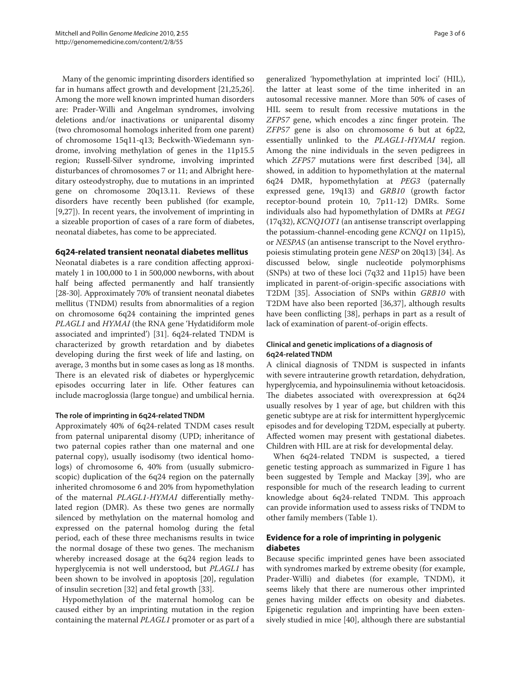Many of the genomic imprinting disorders identified so far in humans affect growth and development [21,25,26]. Among the more well known imprinted human disorders are: Prader-Willi and Angelman syndromes, involving deletions and/or inactivations or uniparental disomy (two chromosomal homologs inherited from one parent) of chromosome 15q11-q13; Beckwith-Wiedemann syndrome, involving methylation of genes in the 11p15.5 region; Russell-Silver syndrome, involving imprinted disturbances of chromosomes 7 or 11; and Albright hereditary osteodystrophy, due to mutations in an imprinted gene on chromosome 20q13.11. Reviews of these disorders have recently been published (for example, [9,27]). In recent years, the involvement of imprinting in a sizeable proportion of cases of a rare form of diabetes, neonatal diabetes, has come to be appreciated.

### **6q24-related transient neonatal diabetes mellitus**

Neonatal diabetes is a rare condition affecting approximately 1 in 100,000 to 1 in 500,000 newborns, with about half being affected permanently and half transiently [28-30]. Approximately 70% of transient neonatal diabetes mellitus (TNDM) results from abnormalities of a region on chromosome 6q24 containing the imprinted genes *PLAGL1* and *HYMAI* (the RNA gene 'Hydatidiform mole associated and imprinted') [31]. 6q24-related TNDM is characterized by growth retardation and by diabetes developing during the first week of life and lasting, on average, 3 months but in some cases as long as 18 months. There is an elevated risk of diabetes or hyperglycemic episodes occurring later in life. Other features can include macroglossia (large tongue) and umbilical hernia.

#### **The role of imprinting in 6q24-related TNDM**

Approximately 40% of 6q24-related TNDM cases result from paternal uniparental disomy (UPD; inheritance of two paternal copies rather than one maternal and one paternal copy), usually isodisomy (two identical homologs) of chromosome 6, 40% from (usually submicroscopic) duplication of the 6q24 region on the paternally inherited chromosome 6 and 20% from hypomethylation of the maternal *PLAGL1-HYMAI* differentially methylated region (DMR). As these two genes are normally silenced by methylation on the maternal homolog and expressed on the paternal homolog during the fetal period, each of these three mechanisms results in twice the normal dosage of these two genes. The mechanism whereby increased dosage at the 6q24 region leads to hyperglycemia is not well understood, but *PLAGL1* has been shown to be involved in apoptosis [20], regulation of insulin secretion [32] and fetal growth [33].

Hypomethylation of the maternal homolog can be caused either by an imprinting mutation in the region containing the maternal *PLAGL1* promoter or as part of a generalized 'hypomethylation at imprinted loci' (HIL), the latter at least some of the time inherited in an autosomal recessive manner. More than 50% of cases of HIL seem to result from recessive mutations in the *ZFP57* gene, which encodes a zinc finger protein. The *ZFP57* gene is also on chromosome 6 but at 6p22, essentially unlinked to the *PLAGL1*-*HYMAI* region. Among the nine individuals in the seven pedigrees in which *ZFP57* mutations were first described [34], all showed, in addition to hypomethylation at the maternal 6q24 DMR, hypomethylation at *PEG3* (paternally expressed gene, 19q13) and *GRB10* (growth factor receptor-bound protein 10, 7p11-12) DMRs. Some individuals also had hypomethylation of DMRs at *PEG1* (17q32), *KCNQ1OT1* (an antisense transcript overlapping the potassium-channel-encoding gene *KCNQ1* on 11p15), or *NESPAS* (an antisense transcript to the Novel erythropoiesis stimulating protein gene *NESP* on 20q13) [34]. As discussed below, single nucleotide polymorphisms (SNPs) at two of these loci (7q32 and 11p15) have been implicated in parent-of-origin-specific associations with T2DM [35]. Association of SNPs within *GRB10* with T2DM have also been reported [36,37], although results have been conflicting [38], perhaps in part as a result of lack of examination of parent-of-origin effects.

### **Clinical and genetic implications of a diagnosis of 6q24-related TNDM**

A clinical diagnosis of TNDM is suspected in infants with severe intrauterine growth retardation, dehydration, hyperglycemia, and hypoinsulinemia without ketoacidosis. The diabetes associated with overexpression at 6q24 usually resolves by 1 year of age, but children with this genetic subtype are at risk for intermittent hyperglycemic episodes and for developing T2DM, especially at puberty. Affected women may present with gestational diabetes. Children with HIL are at risk for developmental delay.

When 6q24-related TNDM is suspected, a tiered genetic testing approach as summarized in Figure 1 has been suggested by Temple and Mackay [39], who are responsible for much of the research leading to current knowledge about 6q24-related TNDM. This approach can provide information used to assess risks of TNDM to other family members (Table 1).

## **Evidence for a role of imprinting in polygenic diabetes**

Because specific imprinted genes have been associated with syndromes marked by extreme obesity (for example, Prader-Willi) and diabetes (for example, TNDM), it seems likely that there are numerous other imprinted genes having milder effects on obesity and diabetes. Epigenetic regulation and imprinting have been extensively studied in mice [40], although there are substantial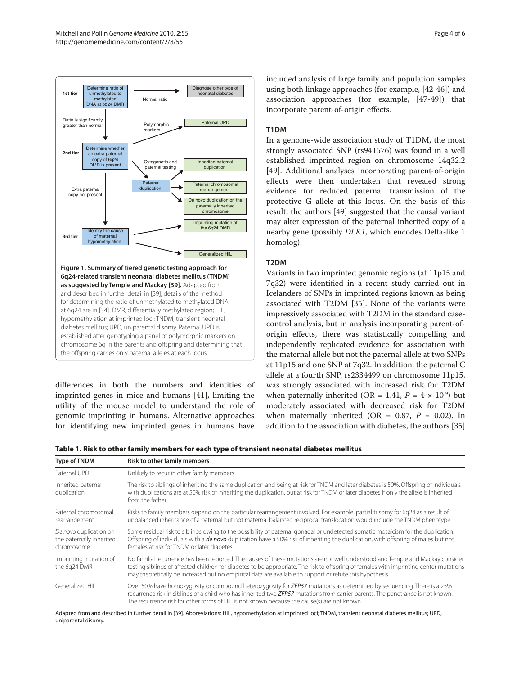

differences in both the numbers and identities of imprinted genes in mice and humans [41], limiting the utility of the mouse model to understand the role of genomic imprinting in humans. Alternative approaches for identifying new imprinted genes in humans have included analysis of large family and population samples using both linkage approaches (for example, [42-46]) and association approaches (for example, [47-49]) that incorporate parent-of-origin effects.

## **T1DM**

In a genome-wide association study of T1DM, the most strongly associated SNP (rs941576) was found in a well established imprinted region on chromosome 14q32.2 [49]. Additional analyses incorporating parent-of-origin effects were then undertaken that revealed strong evidence for reduced paternal transmission of the protective G allele at this locus. On the basis of this result, the authors [49] suggested that the causal variant may alter expression of the paternal inherited copy of a nearby gene (possibly *DLK1*, which encodes Delta-like 1 homolog).

## **T2DM**

Variants in two imprinted genomic regions (at 11p15 and 7q32) were identified in a recent study carried out in Icelanders of SNPs in imprinted regions known as being associated with T2DM [35]. None of the variants were impressively associated with T2DM in the standard casecontrol analysis, but in analysis incorporating parent-oforigin effects, there was statistically compelling and independently replicated evidence for association with the maternal allele but not the paternal allele at two SNPs at 11p15 and one SNP at 7q32. In addition, the paternal C allele at a fourth SNP, rs2334499 on chromosome 11p15, was strongly associated with increased risk for T2DM when paternally inherited (OR = 1.41,  $P = 4 \times 10^{-9}$ ) but moderately associated with decreased risk for T2DM when maternally inherited (OR =  $0.87$ ,  $P = 0.02$ ). In addition to the association with diabetes, the authors [35]

| Table 1. Risk to other family members for each type of transient neonatal diabetes mellitus |
|---------------------------------------------------------------------------------------------|
|---------------------------------------------------------------------------------------------|

| Type of TNDM                                                     | <b>Risk to other family members</b>                                                                                                                                                                                                                                                                                                                                                  |
|------------------------------------------------------------------|--------------------------------------------------------------------------------------------------------------------------------------------------------------------------------------------------------------------------------------------------------------------------------------------------------------------------------------------------------------------------------------|
| Paternal UPD                                                     | Unlikely to recur in other family members                                                                                                                                                                                                                                                                                                                                            |
| Inherited paternal<br>duplication                                | The risk to siblings of inheriting the same duplication and being at risk for TNDM and later diabetes is 50%. Offspring of individuals<br>with duplications are at 50% risk of inheriting the duplication, but at risk for TNDM or later diabetes if only the allele is inherited<br>from the father                                                                                 |
| Paternal chromosomal<br>rearrangement                            | Risks to family members depend on the particular rearrangement involved. For example, partial trisomy for 6q24 as a result of<br>unbalanced inheritance of a paternal but not maternal balanced reciprocal translocation would include the TNDM phenotype                                                                                                                            |
| De novo duplication on<br>the paternally inherited<br>chromosome | Some residual risk to siblings owing to the possibility of paternal gonadal or undetected somatic mosaicism for the duplication.<br>Offspring of individuals with a <i>de novo</i> duplication have a 50% risk of inheriting the duplication, with offspring of males but not<br>females at risk for TNDM or later diabetes                                                          |
| Imprinting mutation of<br>the 6q24 DMR                           | No familial recurrence has been reported. The causes of these mutations are not well understood and Temple and Mackay consider<br>testing siblings of affected children for diabetes to be appropriate. The risk to offspring of females with imprinting center mutations<br>may theoretically be increased but no empirical data are available to support or refute this hypothesis |
| Generalized HII                                                  | Over 50% have homozygosity or compound heterozygosity for ZFP57 mutations as determined by sequencing. There is a 25%<br>recurrence risk in siblings of a child who has inherited two ZFP57 mutations from carrier parents. The penetrance is not known.<br>The recurrence risk for other forms of HIL is not known because the cause(s) are not known                               |

Adapted from and described in further detail in [39]. Abbreviations: HIL, hypomethylation at imprinted loci; TNDM, transient neonatal diabetes mellitus; UPD, uniparental disomy.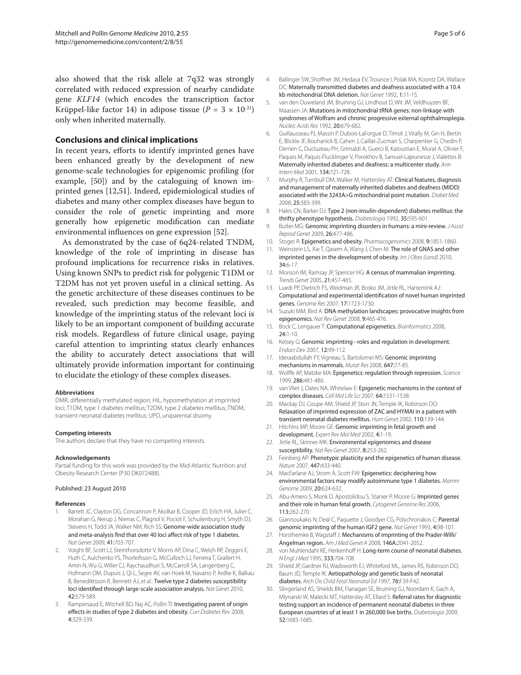also showed that the risk allele at 7q32 was strongly correlated with reduced expression of nearby candidate gene *KLF14* (which encodes the transcription factor Krüppel-like factor 14) in adipose tissue  $(P = 3 \times 10^{-21})$ only when inherited maternally.

#### **Conclusions and clinical implications**

In recent years, efforts to identify imprinted genes have been enhanced greatly by the development of new genome-scale technologies for epigenomic profiling (for example, [50]) and by the cataloguing of known imprinted genes [12,51]. Indeed, epidemiological studies of diabetes and many other complex diseases have begun to consider the role of genetic imprinting and more generally how epigenetic modification can mediate environmental influences on gene expression [52].

As demonstrated by the case of 6q24-related TNDM, knowledge of the role of imprinting in disease has profound implications for recurrence risks in relatives. Using known SNPs to predict risk for polygenic T1DM or T2DM has not yet proven useful in a clinical setting. As the genetic architecture of these diseases continues to be revealed, such prediction may become feasible, and knowledge of the imprinting status of the relevant loci is likely to be an important component of building accurate risk models. Regardless of future clinical usage, paying careful attention to imprinting status clearly enhances the ability to accurately detect associations that will ultimately provide information important for continuing to elucidate the etiology of these complex diseases.

#### **Abbreviations**

DMR, differentially methylated region; HIL, hypomethylation at imprinted loci; T1DM, type 1 diabetes mellitus; T2DM, type 2 diabetes mellitus; TNDM, transient neonatal diabetes mellitus; UPD, uniparental disomy.

#### **Competing interests**

The authors declare that they have no competing interests.

#### **Acknowledgements**

Partial funding for this work was provided by the Mid-Atlantic Nutrition and Obesity Research Center (P30 DK072488).

#### Published: 23 August 2010

#### **References**

- Barrett JC, Clayton DG, Concannon P, Akolkar B, Cooper JD, Erlich HA, Julier C, Morahan G, Nerup J, Nierras C, Plagnol V, Pociot F, Schuilenburg H, Smyth DJ, Stevens H, Todd JA, Walker NM, Rich SS: Genome-wide association study and meta-analysis find that over 40 loci affect risk of type 1 diabetes. *Nat Genet* 2009, 41:703-707.
- 2. Voight BF, Scott LJ, Steinthorsdottir V, Morris AP, Dina C, Welch RP, Zeggini E, Huth C, Aulchenko YS, Thorleifsson G, McCulloch LJ, Ferreira T, Grallert H, Amin N, Wu G, Willer CJ, Raychaudhuri S, McCarroll SA, Langenberg C, Hofmann OM, Dupuis J, Qi L, Segre AV, van Hoek M, Navarro P, Ardlie K, Balkau B, Benediktsson R, Bennett AJ, *et al.*: Twelve type 2 diabetes susceptibility loci identified through large-scale association analysis. *Nat Genet* 2010, 42:579-589.
- 3. Rampersaud E, Mitchell BD, Naj AC, Pollin TI: Investigating parent of origin effects in studies of type 2 diabetes and obesity. *Curr Diabetes Rev* 2008, 4:329-339.
- 4. Ballinger SW, Shoffner JM, Hedaya EV, Trounce I, Polak MA, Koontz DA, Wallace DC: Maternally transmitted diabetes and deafness associated with a 10.4 kb mitochondrial DNA deletion. *Nat Genet* 1992, 1:11-15.
- 5. van den Ouweland JM, Bruining GJ, Lindhout D, Wit JM, Veldhuyzen BF, Maassen JA: Mutations in mitochondrial tRNA genes: non-linkage with syndromes of Wolfram and chronic progressive external ophthalmoplegia. *Nucleic Acids Res* 1992, 20:679-682.
- 6. Guillausseau PJ, Massin P, Dubois-LaForgue D, Timsit J, Virally M, Gin H, Bertin E, Blickle JF, Bouhanick B, Cahen J, Caillat-Zucman S, Charpentier G, Chedin P, Derrien C, Ducluzeau PH, Grimaldi A, Guerci B, Kaloustian E, Murat A, Olivier F, Paques M, Paquis-Flucklinger V, Porokhov B, Samuel-Lajeunesse J, Vialettes B: Maternally inherited diabetes and deafness: a multicenter study. *Ann Intern Med* 2001, 134:721-728.
- 7. Murphy R, Turnbull DM, Walker M, Hattersley AT: Clinical features, diagnosis and management of maternally inherited diabetes and deafness (MIDD) associated with the 3243A>G mitochondrial point mutation. *Diabet Med* 2008, 25:383-399.
- 8. Hales CN, Barker DJ: Type 2 (non-insulin-dependent) diabetes mellitus: the thrifty phenotype hypothesis. *Diabetologia* 1992, 35:595-601.
- 9. Butler MG: Genomic imprinting disorders in humans: a mini-review. *J Assist Reprod Genet* 2009, 26:477-486.
- 10. Stoger R: Epigenetics and obesity. *Pharmacogenomics* 2008, 9:1851-1860.
- 11. Weinstein LS, Xie T, Qasem A, Wang J, Chen M: The role of GNAS and other imprinted genes in the development of obesity. *Int J Obes (Lond)* 2010, 34:6-17.
- 12. Morison IM, Ramsay JP, Spencer HG: A census of mammalian imprinting. *Trends Genet* 2005, 21:457-465.
- 13. Luedi PP, Dietrich FS, Weidman JR, Bosko JM, Jirtle RL, Hartemink AJ: Computational and experimental identification of novel human imprinted genes. *Genome Res* 2007, 17:1723-1730.
- 14. Suzuki MM, Bird A: DNA methylation landscapes: provocative insights from epigenomics. *Nat Rev Genet* 2008, 9:465-476.
- 15. Bock C, Lengauer T: Computational epigenetics. *Bioinformatics* 2008, 24:1-10.
- 16. Kelsey G: Genomic imprinting roles and regulation in development. *Endocr Dev* 2007, 12:99-112.
- 17. Ideraabdullah FY, Vigneau S, Bartolomei MS: Genomic imprinting mechanisms in mammals. *Mutat Res* 2008, 647:77-85.
- 18. Wolffe AP, Matzke MA: Epigenetics: regulation through repression. *Science* 1999, 286:481-486.
- 19. van Vliet J, Oates NA, Whitelaw E: Epigenetic mechanisms in the context of complex diseases. *Cell Mol Life Sci* 2007, 64:1531-1538.
- 20. Mackay DJ, Coupe AM, Shield JP, Storr JN, Temple IK, Robinson DO: Relaxation of imprinted expression of ZAC and HYMAI in a patient with transient neonatal diabetes mellitus. *Hum Genet* 2002, 110:139-144.
- 21. Hitchins MP, Moore GE: Genomic imprinting in fetal growth and development. *Expert Rev Mol Med* 2002, 4:1-19.
- 22. Jirtle RL, Skinner MK: Environmental epigenomics and disease susceptibility. *Nat Rev Genet* 2007, 8:253-262.
- 23. Feinberg AP: Phenotypic plasticity and the epigenetics of human disease. *Nature* 2007, 447:433-440.
- 24. MacFarlane AJ, Strom A, Scott FW: Epigenetics: deciphering how environmental factors may modify autoimmune type 1 diabetes. *Mamm Genome* 2009, 20:624-632.
- 25. Abu-Amero S, Monk D, Apostolidou S, Stanier P, Moore G: Imprinted genes and their role in human fetal growth. *Cytogenet Genome Res* 2006, 113:262-270.
- 26. Giannoukakis N, Deal C, Paquette J, Goodyer CG, Polychronakos C: Parental genomic imprinting of the human IGF2 gene. *Nat Genet* 1993, 4:98-101.
- Horsthemke B, Wagstaff J: Mechanisms of imprinting of the Prader-Willi/ Angelman region. *Am J Med Genet A* 2008, 146A:2041-2052.
- 28. von Muhlendahl KE, Herkenhoff H: Long-term course of neonatal diabetes. *N Engl J Med* 1995, 333:704-708.
- 29. Shield JP, Gardner RJ, Wadsworth EJ, Whiteford ML, James RS, Robinson DO, Baum JD, Temple IK: Aetiopathology and genetic basis of neonatal diabetes. *Arch Dis Child Fetal Neonatal Ed* 1997, 76:F39-F42.
- 30. Slingerland AS, Shields BM, Flanagan SE, Bruining GJ, Noordam K, Gach A, Mlynarski W, Malecki MT, Hattersley AT, Ellard S: Referral rates for diagnostic testing support an incidence of permanent neonatal diabetes in three European countries of at least 1 in 260,000 live births. *Diabetologia* 2009, 52:1683-1685.